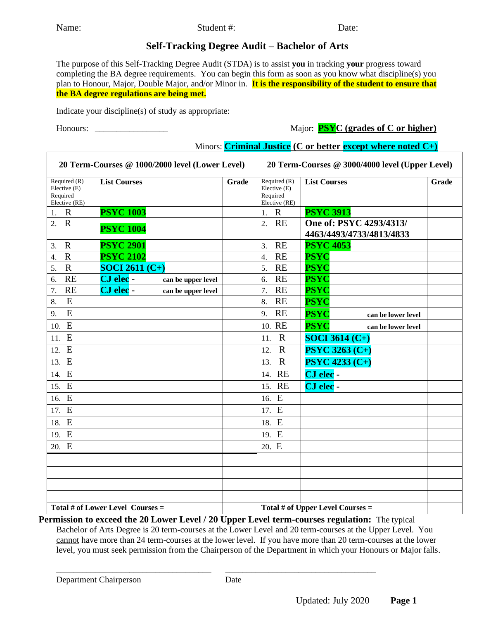## **Self-Tracking Degree Audit – Bachelor of Arts**

The purpose of this Self-Tracking Degree Audit (STDA) is to assist **you** in tracking **your** progress toward completing the BA degree requirements. You can begin this form as soon as you know what discipline(s) you plan to Honour, Major, Double Major, and/or Minor in. **It is the responsibility of the student to ensure that the BA degree regulations are being met.** 

Indicate your discipline(s) of study as appropriate:

Honours: \_\_\_\_\_\_\_\_\_\_\_\_\_\_\_\_\_ Major: **PSYC (grades of C or higher)**

Minors: **Criminal Justice (C or better except where noted C+)**

|                                                           | 20 Term-Courses @ 1000/2000 level (Lower Level) |       |                                                               | 20 Term-Courses @ 3000/4000 level (Upper Level)     |       |
|-----------------------------------------------------------|-------------------------------------------------|-------|---------------------------------------------------------------|-----------------------------------------------------|-------|
| Required (R)<br>Elective (E)<br>Required<br>Elective (RE) | <b>List Courses</b>                             | Grade | Required $(R)$<br>Elective $(E)$<br>Required<br>Elective (RE) | <b>List Courses</b>                                 | Grade |
| $\mathbf R$<br>1.                                         | <b>PSYC 1003</b>                                |       | $\mathbf R$<br>1.                                             | <b>PSYC 3913</b>                                    |       |
| $\mathbf R$<br>$\overline{2}$ .                           | <b>PSYC 1004</b>                                |       | <b>RE</b><br>$\overline{2}$ .                                 | One of: PSYC 4293/4313/<br>4463/4493/4733/4813/4833 |       |
| $\mathbf R$<br>3.                                         | <b>PSYC 2901</b>                                |       | <b>RE</b><br>3.                                               | <b>PSYC 4053</b>                                    |       |
| $\mathbf R$<br>$\overline{4}$ .                           | <b>PSYC 2102</b>                                |       | <b>RE</b><br>$\overline{4}$ .                                 | <b>PSYC</b>                                         |       |
| $\mathbf R$<br>5.                                         | <b>SOCI 2611 <math>(C+)</math></b>              |       | <b>RE</b><br>5.                                               | <b>PSYC</b>                                         |       |
| <b>RE</b><br>6.                                           | CJ elec -<br>can be upper level                 |       | <b>RE</b><br>6.                                               | <b>PSYC</b>                                         |       |
| <b>RE</b><br>7.                                           | CJ elec -<br>can be upper level                 |       | <b>RE</b><br>7.                                               | <b>PSYC</b>                                         |       |
| E<br>8.                                                   |                                                 |       | <b>RE</b><br>8.                                               | <b>PSYC</b>                                         |       |
| E<br>9.                                                   |                                                 |       | <b>RE</b><br>9.                                               | <b>PSYC</b><br>can be lower level                   |       |
| E<br>10.                                                  |                                                 |       | 10. RE                                                        | <b>PSYC</b><br>can be lower level                   |       |
| 11. E                                                     |                                                 |       | $\mathbb{R}$<br>11.                                           | <b>SOCI 3614 (C+)</b>                               |       |
| 12. E                                                     |                                                 |       | $\mathbf R$<br>12.                                            | <b>PSYC 3263 (C+)</b>                               |       |
| 13. E                                                     |                                                 |       | $\mathbf{R}$<br>13.                                           | <b>PSYC 4233 (C+)</b>                               |       |
| 14. E                                                     |                                                 |       | 14. RE                                                        | CJ elec -                                           |       |
| 15. E                                                     |                                                 |       | 15. RE                                                        | CJ elec -                                           |       |
| 16. E                                                     |                                                 |       | 16. E                                                         |                                                     |       |
| 17. E                                                     |                                                 |       | 17. E                                                         |                                                     |       |
| 18. E                                                     |                                                 |       | 18. E                                                         |                                                     |       |
| 19. E                                                     |                                                 |       | 19. E                                                         |                                                     |       |
| 20. E                                                     |                                                 |       | 20. E                                                         |                                                     |       |
|                                                           |                                                 |       |                                                               |                                                     |       |
|                                                           |                                                 |       |                                                               |                                                     |       |
|                                                           |                                                 |       |                                                               |                                                     |       |
|                                                           |                                                 |       |                                                               |                                                     |       |
| $\overline{\text{Total # of Lower Level Courses}} =$      |                                                 |       |                                                               | Total # of Upper Level Courses $=$                  |       |

**Permission to exceed the 20 Lower Level / 20 Upper Level term-courses regulation:** The typical Bachelor of Arts Degree is 20 term-courses at the Lower Level and 20 term-courses at the Upper Level. You cannot have more than 24 term-courses at the lower level. If you have more than 20 term-courses at the lower level, you must seek permission from the Chairperson of the Department in which your Honours or Major falls.

**\_\_\_\_\_\_\_\_\_\_\_\_\_\_\_\_\_\_\_\_\_\_\_\_\_\_\_\_\_\_\_\_\_\_\_\_ \_\_\_\_\_\_\_\_\_\_\_\_\_\_\_\_\_\_\_\_\_\_\_\_\_\_\_\_\_\_\_\_\_\_\_**